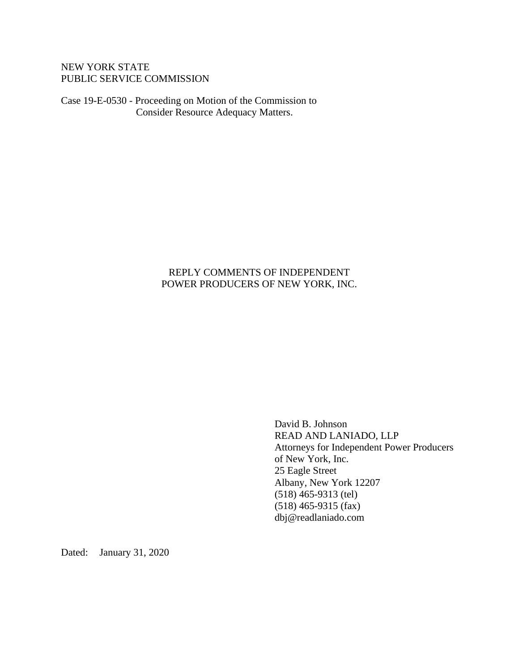## NEW YORK STATE PUBLIC SERVICE COMMISSION

Case 19-E-0530 - Proceeding on Motion of the Commission to Consider Resource Adequacy Matters.

# REPLY COMMENTS OF INDEPENDENT POWER PRODUCERS OF NEW YORK, INC.

David B. Johnson READ AND LANIADO, LLP Attorneys for Independent Power Producers of New York, Inc. 25 Eagle Street Albany, New York 12207 (518) 465-9313 (tel) (518) 465-9315 (fax) dbj@readlaniado.com

Dated: January 31, 2020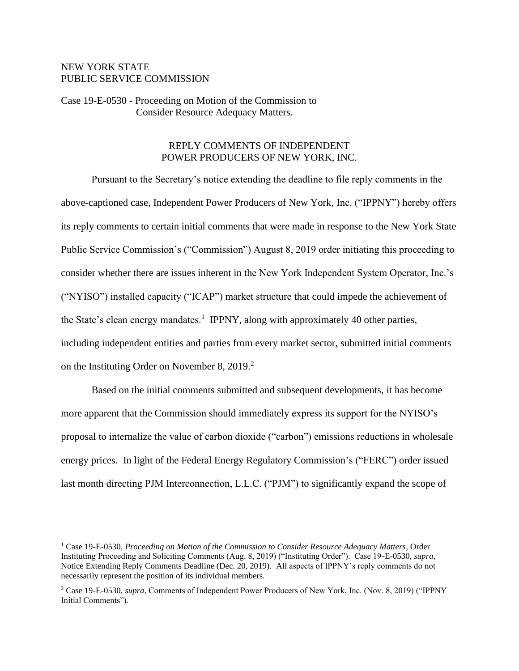### NEW YORK STATE PUBLIC SERVICE COMMISSION

Case 19-E-0530 - Proceeding on Motion of the Commission to Consider Resource Adequacy Matters.

#### REPLY COMMENTS OF INDEPENDENT POWER PRODUCERS OF NEW YORK, INC.

Pursuant to the Secretary's notice extending the deadline to file reply comments in the above-captioned case, Independent Power Producers of New York, Inc. ("IPPNY") hereby offers its reply comments to certain initial comments that were made in response to the New York State Public Service Commission's ("Commission") August 8, 2019 order initiating this proceeding to consider whether there are issues inherent in the New York Independent System Operator, Inc.'s ("NYISO") installed capacity ("ICAP") market structure that could impede the achievement of the State's clean energy mandates.<sup>1</sup> IPPNY, along with approximately 40 other parties, including independent entities and parties from every market sector, submitted initial comments on the Instituting Order on November 8, 2019. 2

Based on the initial comments submitted and subsequent developments, it has become more apparent that the Commission should immediately express its support for the NYISO's proposal to internalize the value of carbon dioxide ("carbon") emissions reductions in wholesale energy prices. In light of the Federal Energy Regulatory Commission's ("FERC") order issued last month directing PJM Interconnection, L.L.C. ("PJM") to significantly expand the scope of

<sup>1</sup> Case 19-E-0530, *Proceeding on Motion of the Commission to Consider Resource Adequacy Matters*, Order Instituting Proceeding and Soliciting Comments (Aug. 8, 2019) ("Instituting Order"). Case 19-E-0530, *supra*, Notice Extending Reply Comments Deadline (Dec. 20, 2019). All aspects of IPPNY's reply comments do not necessarily represent the position of its individual members.

<sup>2</sup> Case 19-E-0530, *supra*, Comments of Independent Power Producers of New York, Inc. (Nov. 8, 2019) ("IPPNY Initial Comments").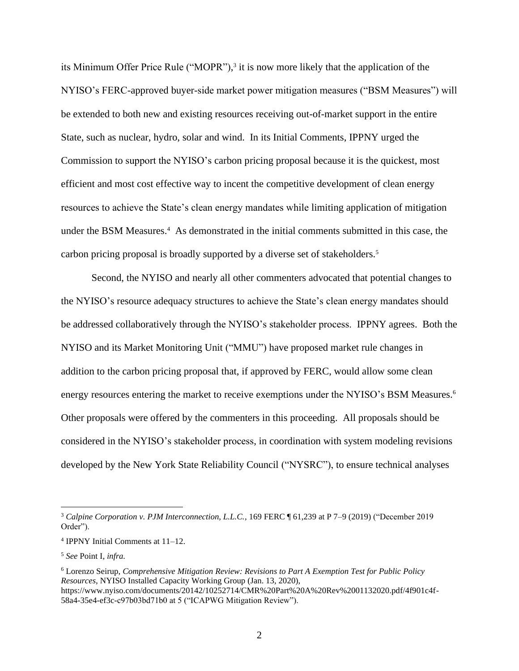its Minimum Offer Price Rule ("MOPR"), 3 it is now more likely that the application of the NYISO's FERC-approved buyer-side market power mitigation measures ("BSM Measures") will be extended to both new and existing resources receiving out-of-market support in the entire State, such as nuclear, hydro, solar and wind. In its Initial Comments, IPPNY urged the Commission to support the NYISO's carbon pricing proposal because it is the quickest, most efficient and most cost effective way to incent the competitive development of clean energy resources to achieve the State's clean energy mandates while limiting application of mitigation under the BSM Measures.<sup>4</sup> As demonstrated in the initial comments submitted in this case, the carbon pricing proposal is broadly supported by a diverse set of stakeholders.<sup>5</sup>

Second, the NYISO and nearly all other commenters advocated that potential changes to the NYISO's resource adequacy structures to achieve the State's clean energy mandates should be addressed collaboratively through the NYISO's stakeholder process. IPPNY agrees. Both the NYISO and its Market Monitoring Unit ("MMU") have proposed market rule changes in addition to the carbon pricing proposal that, if approved by FERC, would allow some clean energy resources entering the market to receive exemptions under the NYISO's BSM Measures.<sup>6</sup> Other proposals were offered by the commenters in this proceeding. All proposals should be considered in the NYISO's stakeholder process, in coordination with system modeling revisions developed by the New York State Reliability Council ("NYSRC"), to ensure technical analyses

<sup>3</sup> *Calpine Corporation v. PJM Interconnection, L.L.C.*, 169 FERC ¶ 61,239 at P 7–9 (2019) ("December 2019 Order").

<sup>4</sup> IPPNY Initial Comments at 11–12.

<sup>5</sup> *See* Point I, *infra.*

<sup>6</sup> Lorenzo Seirup, *Comprehensive Mitigation Review: Revisions to Part A Exemption Test for Public Policy Resources*, NYISO Installed Capacity Working Group (Jan. 13, 2020), https://www.nyiso.com/documents/20142/10252714/CMR%20Part%20A%20Rev%2001132020.pdf/4f901c4f-58a4-35e4-ef3c-c97b03bd71b0 at 5 ("ICAPWG Mitigation Review").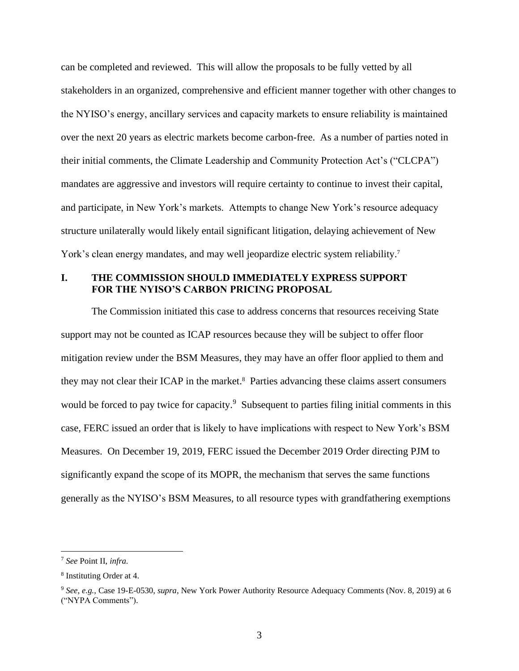can be completed and reviewed. This will allow the proposals to be fully vetted by all stakeholders in an organized, comprehensive and efficient manner together with other changes to the NYISO's energy, ancillary services and capacity markets to ensure reliability is maintained over the next 20 years as electric markets become carbon-free. As a number of parties noted in their initial comments, the Climate Leadership and Community Protection Act's ("CLCPA") mandates are aggressive and investors will require certainty to continue to invest their capital, and participate, in New York's markets. Attempts to change New York's resource adequacy structure unilaterally would likely entail significant litigation, delaying achievement of New York's clean energy mandates, and may well jeopardize electric system reliability.<sup>7</sup>

# **I. THE COMMISSION SHOULD IMMEDIATELY EXPRESS SUPPORT FOR THE NYISO'S CARBON PRICING PROPOSAL**

The Commission initiated this case to address concerns that resources receiving State support may not be counted as ICAP resources because they will be subject to offer floor mitigation review under the BSM Measures, they may have an offer floor applied to them and they may not clear their ICAP in the market. 8 Parties advancing these claims assert consumers would be forced to pay twice for capacity.<sup>9</sup> Subsequent to parties filing initial comments in this case, FERC issued an order that is likely to have implications with respect to New York's BSM Measures. On December 19, 2019, FERC issued the December 2019 Order directing PJM to significantly expand the scope of its MOPR, the mechanism that serves the same functions generally as the NYISO's BSM Measures, to all resource types with grandfathering exemptions

<sup>7</sup> *See* Point II, *infra.*

<sup>8</sup> Instituting Order at 4.

<sup>9</sup> *See, e.g.*, Case 19-E-0530, *supra*, New York Power Authority Resource Adequacy Comments (Nov. 8, 2019) at 6 ("NYPA Comments").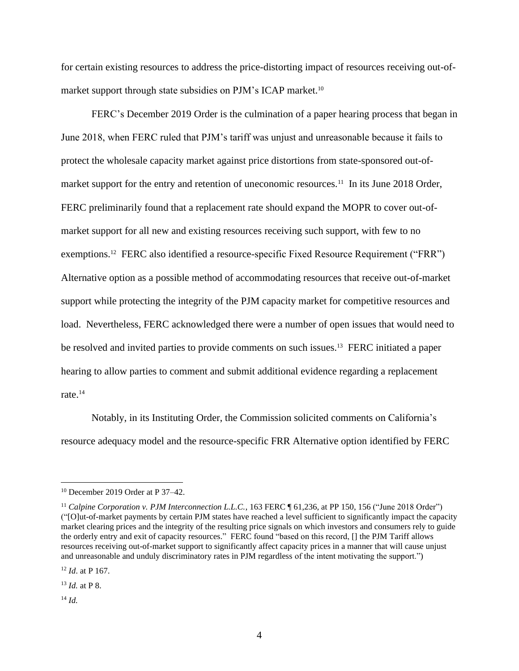for certain existing resources to address the price-distorting impact of resources receiving out-ofmarket support through state subsidies on PJM's ICAP market. 10

FERC's December 2019 Order is the culmination of a paper hearing process that began in June 2018, when FERC ruled that PJM's tariff was unjust and unreasonable because it fails to protect the wholesale capacity market against price distortions from state-sponsored out-ofmarket support for the entry and retention of uneconomic resources.<sup>11</sup> In its June 2018 Order, FERC preliminarily found that a replacement rate should expand the MOPR to cover out-ofmarket support for all new and existing resources receiving such support, with few to no exemptions.<sup>12</sup> FERC also identified a resource-specific Fixed Resource Requirement ("FRR") Alternative option as a possible method of accommodating resources that receive out-of-market support while protecting the integrity of the PJM capacity market for competitive resources and load. Nevertheless, FERC acknowledged there were a number of open issues that would need to be resolved and invited parties to provide comments on such issues.<sup>13</sup> FERC initiated a paper hearing to allow parties to comment and submit additional evidence regarding a replacement rate.<sup>14</sup>

Notably, in its Instituting Order, the Commission solicited comments on California's resource adequacy model and the resource-specific FRR Alternative option identified by FERC

<sup>12</sup> *Id*. at P 167.

<sup>13</sup> *Id.* at P 8.

<sup>14</sup> *Id.*

<sup>10</sup> December 2019 Order at P 37–42.

<sup>&</sup>lt;sup>11</sup> Calpine Corporation v. PJM Interconnection L.L.C., 163 FERC ¶ 61,236, at PP 150, 156 ("June 2018 Order") ("[O]ut-of-market payments by certain PJM states have reached a level sufficient to significantly impact the capacity market clearing prices and the integrity of the resulting price signals on which investors and consumers rely to guide the orderly entry and exit of capacity resources." FERC found "based on this record, [] the PJM Tariff allows resources receiving out-of-market support to significantly affect capacity prices in a manner that will cause unjust and unreasonable and unduly discriminatory rates in PJM regardless of the intent motivating the support.")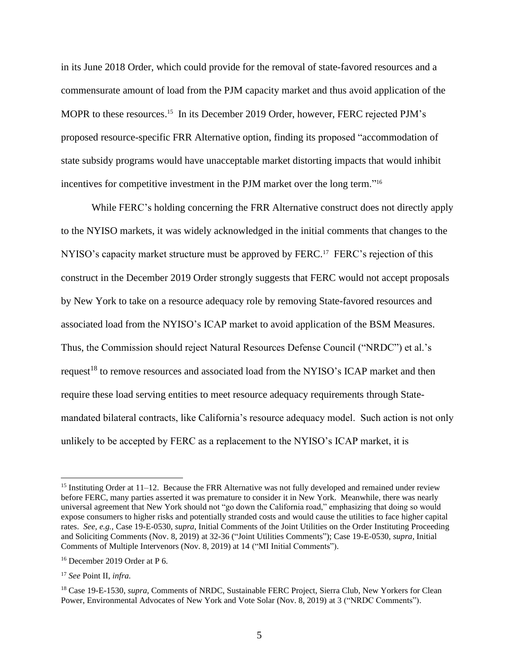in its June 2018 Order, which could provide for the removal of state-favored resources and a commensurate amount of load from the PJM capacity market and thus avoid application of the MOPR to these resources.<sup>15</sup> In its December 2019 Order, however, FERC rejected PJM's proposed resource-specific FRR Alternative option, finding its proposed "accommodation of state subsidy programs would have unacceptable market distorting impacts that would inhibit incentives for competitive investment in the PJM market over the long term."<sup>16</sup>

While FERC's holding concerning the FRR Alternative construct does not directly apply to the NYISO markets, it was widely acknowledged in the initial comments that changes to the NYISO's capacity market structure must be approved by FERC.<sup>17</sup> FERC's rejection of this construct in the December 2019 Order strongly suggests that FERC would not accept proposals by New York to take on a resource adequacy role by removing State-favored resources and associated load from the NYISO's ICAP market to avoid application of the BSM Measures. Thus, the Commission should reject Natural Resources Defense Council ("NRDC") et al.'s request<sup>18</sup> to remove resources and associated load from the NYISO's ICAP market and then require these load serving entities to meet resource adequacy requirements through Statemandated bilateral contracts, like California's resource adequacy model. Such action is not only unlikely to be accepted by FERC as a replacement to the NYISO's ICAP market, it is

<sup>&</sup>lt;sup>15</sup> Instituting Order at 11–12. Because the FRR Alternative was not fully developed and remained under review before FERC, many parties asserted it was premature to consider it in New York. Meanwhile, there was nearly universal agreement that New York should not "go down the California road," emphasizing that doing so would expose consumers to higher risks and potentially stranded costs and would cause the utilities to face higher capital rates. *See, e.g.,* Case 19-E-0530, *supra*, Initial Comments of the Joint Utilities on the Order Instituting Proceeding and Soliciting Comments (Nov. 8, 2019) at 32-36 ("Joint Utilities Comments"); Case 19-E-0530, *supra*, Initial Comments of Multiple Intervenors (Nov. 8, 2019) at 14 ("MI Initial Comments").

<sup>16</sup> December 2019 Order at P 6.

<sup>17</sup> *See* Point II, *infra.*

<sup>18</sup> Case 19-E-1530, *supra*, Comments of NRDC, Sustainable FERC Project, Sierra Club, New Yorkers for Clean Power, Environmental Advocates of New York and Vote Solar (Nov. 8, 2019) at 3 ("NRDC Comments").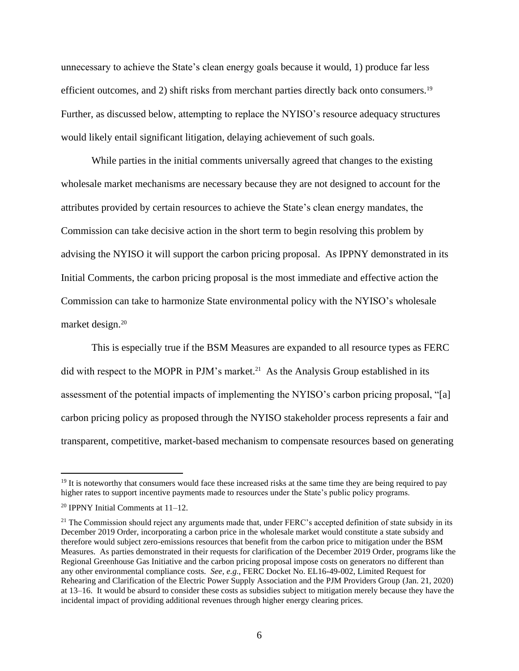unnecessary to achieve the State's clean energy goals because it would, 1) produce far less efficient outcomes, and 2) shift risks from merchant parties directly back onto consumers.<sup>19</sup> Further, as discussed below, attempting to replace the NYISO's resource adequacy structures would likely entail significant litigation, delaying achievement of such goals.

While parties in the initial comments universally agreed that changes to the existing wholesale market mechanisms are necessary because they are not designed to account for the attributes provided by certain resources to achieve the State's clean energy mandates, the Commission can take decisive action in the short term to begin resolving this problem by advising the NYISO it will support the carbon pricing proposal. As IPPNY demonstrated in its Initial Comments, the carbon pricing proposal is the most immediate and effective action the Commission can take to harmonize State environmental policy with the NYISO's wholesale market design. 20

This is especially true if the BSM Measures are expanded to all resource types as FERC did with respect to the MOPR in PJM's market.<sup>21</sup> As the Analysis Group established in its assessment of the potential impacts of implementing the NYISO's carbon pricing proposal, "[a] carbon pricing policy as proposed through the NYISO stakeholder process represents a fair and transparent, competitive, market-based mechanism to compensate resources based on generating

<sup>&</sup>lt;sup>19</sup> It is noteworthy that consumers would face these increased risks at the same time they are being required to pay higher rates to support incentive payments made to resources under the State's public policy programs.

 $20$  IPPNY Initial Comments at 11–12.

 $21$  The Commission should reject any arguments made that, under FERC's accepted definition of state subsidy in its December 2019 Order, incorporating a carbon price in the wholesale market would constitute a state subsidy and therefore would subject zero-emissions resources that benefit from the carbon price to mitigation under the BSM Measures. As parties demonstrated in their requests for clarification of the December 2019 Order, programs like the Regional Greenhouse Gas Initiative and the carbon pricing proposal impose costs on generators no different than any other environmental compliance costs. *See, e.g.*, FERC Docket No. EL16-49-002, Limited Request for Rehearing and Clarification of the Electric Power Supply Association and the PJM Providers Group (Jan. 21, 2020) at 13–16. It would be absurd to consider these costs as subsidies subject to mitigation merely because they have the incidental impact of providing additional revenues through higher energy clearing prices.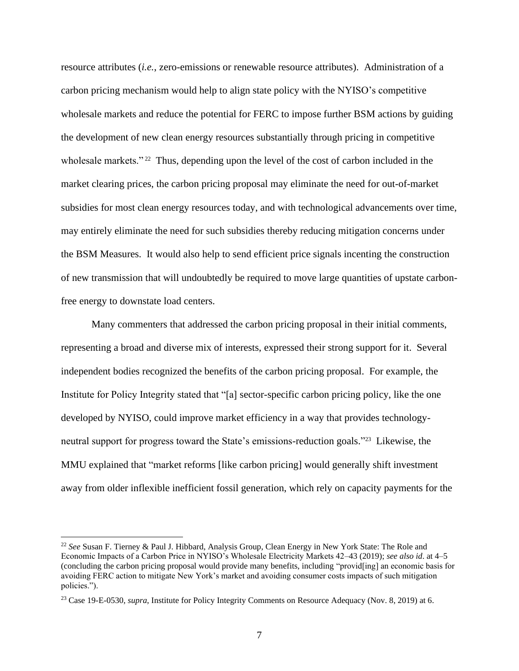resource attributes (*i.e.*, zero-emissions or renewable resource attributes). Administration of a carbon pricing mechanism would help to align state policy with the NYISO's competitive wholesale markets and reduce the potential for FERC to impose further BSM actions by guiding the development of new clean energy resources substantially through pricing in competitive wholesale markets."<sup>22</sup> Thus, depending upon the level of the cost of carbon included in the market clearing prices, the carbon pricing proposal may eliminate the need for out-of-market subsidies for most clean energy resources today, and with technological advancements over time, may entirely eliminate the need for such subsidies thereby reducing mitigation concerns under the BSM Measures. It would also help to send efficient price signals incenting the construction of new transmission that will undoubtedly be required to move large quantities of upstate carbonfree energy to downstate load centers.

Many commenters that addressed the carbon pricing proposal in their initial comments, representing a broad and diverse mix of interests, expressed their strong support for it. Several independent bodies recognized the benefits of the carbon pricing proposal. For example, the Institute for Policy Integrity stated that "[a] sector-specific carbon pricing policy, like the one developed by NYISO, could improve market efficiency in a way that provides technologyneutral support for progress toward the State's emissions-reduction goals."<sup>23</sup> Likewise, the MMU explained that "market reforms [like carbon pricing] would generally shift investment away from older inflexible inefficient fossil generation, which rely on capacity payments for the

<sup>22</sup> *See* Susan F. Tierney & Paul J. Hibbard, Analysis Group, Clean Energy in New York State: The Role and Economic Impacts of a Carbon Price in NYISO's Wholesale Electricity Markets 42–43 (2019); *see also id*. at 4–5 (concluding the carbon pricing proposal would provide many benefits, including "provid[ing] an economic basis for avoiding FERC action to mitigate New York's market and avoiding consumer costs impacts of such mitigation policies.").

<sup>23</sup> Case 19-E-0530, *supra*, Institute for Policy Integrity Comments on Resource Adequacy (Nov. 8, 2019) at 6.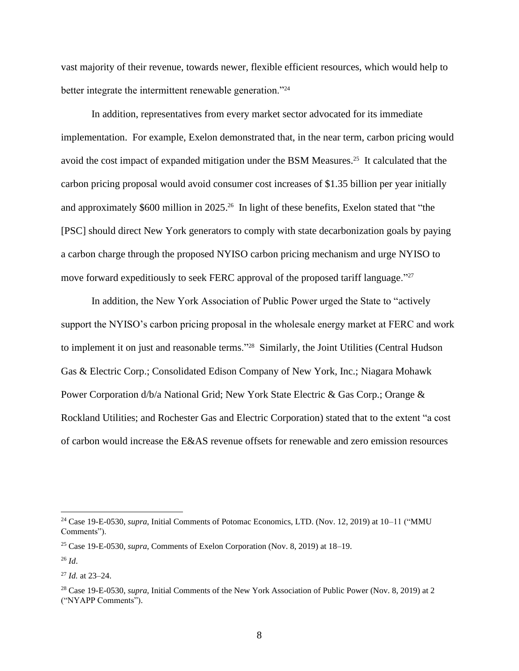vast majority of their revenue, towards newer, flexible efficient resources, which would help to better integrate the intermittent renewable generation."<sup>24</sup>

In addition, representatives from every market sector advocated for its immediate implementation. For example, Exelon demonstrated that, in the near term, carbon pricing would avoid the cost impact of expanded mitigation under the BSM Measures. <sup>25</sup> It calculated that the carbon pricing proposal would avoid consumer cost increases of \$1.35 billion per year initially and approximately \$600 million in 2025. 26 In light of these benefits, Exelon stated that "the [PSC] should direct New York generators to comply with state decarbonization goals by paying a carbon charge through the proposed NYISO carbon pricing mechanism and urge NYISO to move forward expeditiously to seek FERC approval of the proposed tariff language."<sup>27</sup>

In addition, the New York Association of Public Power urged the State to "actively support the NYISO's carbon pricing proposal in the wholesale energy market at FERC and work to implement it on just and reasonable terms."<sup>28</sup> Similarly, the Joint Utilities (Central Hudson Gas & Electric Corp.; Consolidated Edison Company of New York, Inc.; Niagara Mohawk Power Corporation d/b/a National Grid; New York State Electric & Gas Corp.; Orange & Rockland Utilities; and Rochester Gas and Electric Corporation) stated that to the extent "a cost of carbon would increase the E&AS revenue offsets for renewable and zero emission resources

<sup>24</sup> Case 19-E-0530, *supra*, Initial Comments of Potomac Economics, LTD. (Nov. 12, 2019) at 10–11 ("MMU Comments").

<sup>25</sup> Case 19-E-0530, *supra*, Comments of Exelon Corporation (Nov. 8, 2019) at 18–19.

<sup>26</sup> *Id*.

<sup>27</sup> *Id.* at 23–24.

<sup>28</sup> Case 19-E-0530, *supra*, Initial Comments of the New York Association of Public Power (Nov. 8, 2019) at 2 ("NYAPP Comments").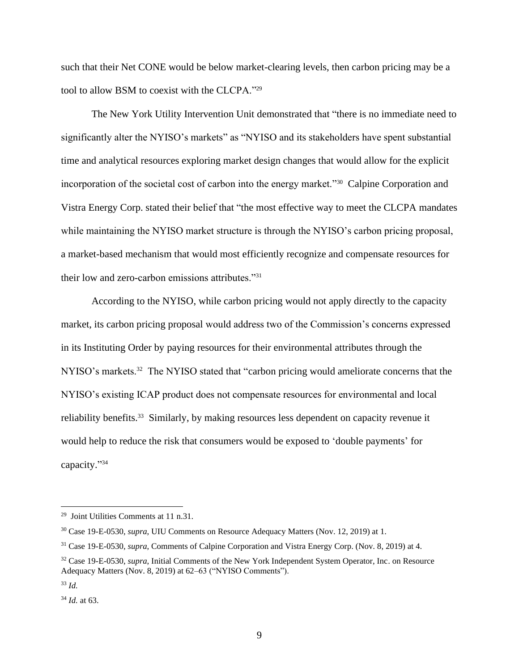such that their Net CONE would be below market-clearing levels, then carbon pricing may be a tool to allow BSM to coexist with the CLCPA."<sup>29</sup>

The New York Utility Intervention Unit demonstrated that "there is no immediate need to significantly alter the NYISO's markets" as "NYISO and its stakeholders have spent substantial time and analytical resources exploring market design changes that would allow for the explicit incorporation of the societal cost of carbon into the energy market."<sup>30</sup> Calpine Corporation and Vistra Energy Corp. stated their belief that "the most effective way to meet the CLCPA mandates while maintaining the NYISO market structure is through the NYISO's carbon pricing proposal, a market-based mechanism that would most efficiently recognize and compensate resources for their low and zero-carbon emissions attributes."<sup>31</sup>

According to the NYISO, while carbon pricing would not apply directly to the capacity market, its carbon pricing proposal would address two of the Commission's concerns expressed in its Instituting Order by paying resources for their environmental attributes through the NYISO's markets.<sup>32</sup> The NYISO stated that "carbon pricing would ameliorate concerns that the NYISO's existing ICAP product does not compensate resources for environmental and local reliability benefits.<sup>33</sup> Similarly, by making resources less dependent on capacity revenue it would help to reduce the risk that consumers would be exposed to 'double payments' for capacity." 34

<sup>29</sup> Joint Utilities Comments at 11 n.31.

<sup>30</sup> Case 19-E-0530, *supra*, UIU Comments on Resource Adequacy Matters (Nov. 12, 2019) at 1.

<sup>31</sup> Case 19-E-0530, *supra*, Comments of Calpine Corporation and Vistra Energy Corp. (Nov. 8, 2019) at 4.

<sup>32</sup> Case 19-E-0530, *supra*, Initial Comments of the New York Independent System Operator, Inc. on Resource Adequacy Matters (Nov. 8, 2019) at 62–63 ("NYISO Comments").

<sup>33</sup> *Id.*

<sup>34</sup> *Id.* at 63.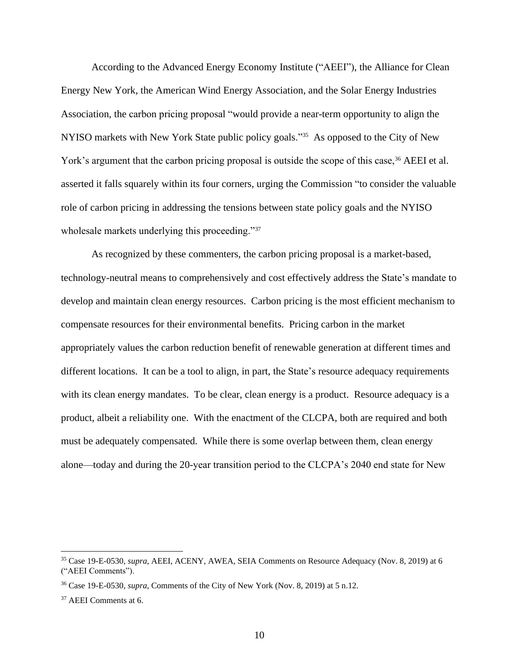According to the Advanced Energy Economy Institute ("AEEI"), the Alliance for Clean Energy New York, the American Wind Energy Association, and the Solar Energy Industries Association, the carbon pricing proposal "would provide a near-term opportunity to align the NYISO markets with New York State public policy goals."<sup>35</sup> As opposed to the City of New York's argument that the carbon pricing proposal is outside the scope of this case,<sup>36</sup> AEEI et al. asserted it falls squarely within its four corners, urging the Commission "to consider the valuable role of carbon pricing in addressing the tensions between state policy goals and the NYISO wholesale markets underlying this proceeding."<sup>37</sup>

As recognized by these commenters, the carbon pricing proposal is a market-based, technology-neutral means to comprehensively and cost effectively address the State's mandate to develop and maintain clean energy resources. Carbon pricing is the most efficient mechanism to compensate resources for their environmental benefits. Pricing carbon in the market appropriately values the carbon reduction benefit of renewable generation at different times and different locations. It can be a tool to align, in part, the State's resource adequacy requirements with its clean energy mandates. To be clear, clean energy is a product. Resource adequacy is a product, albeit a reliability one. With the enactment of the CLCPA, both are required and both must be adequately compensated. While there is some overlap between them, clean energy alone—today and during the 20-year transition period to the CLCPA's 2040 end state for New

<sup>35</sup> Case 19-E-0530, *supra*, AEEI, ACENY, AWEA, SEIA Comments on Resource Adequacy (Nov. 8, 2019) at 6 ("AEEI Comments").

<sup>36</sup> Case 19-E-0530, *supra*, Comments of the City of New York (Nov. 8, 2019) at 5 n.12.

<sup>37</sup> AEEI Comments at 6.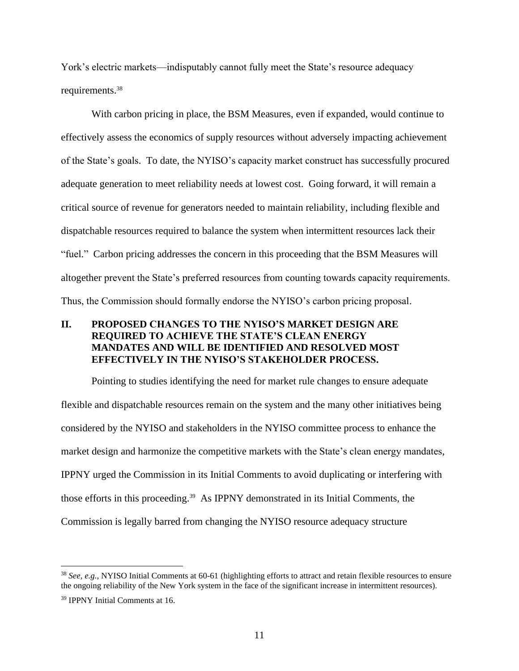York's electric markets—indisputably cannot fully meet the State's resource adequacy requirements.<sup>38</sup>

With carbon pricing in place, the BSM Measures, even if expanded, would continue to effectively assess the economics of supply resources without adversely impacting achievement of the State's goals. To date, the NYISO's capacity market construct has successfully procured adequate generation to meet reliability needs at lowest cost. Going forward, it will remain a critical source of revenue for generators needed to maintain reliability, including flexible and dispatchable resources required to balance the system when intermittent resources lack their "fuel." Carbon pricing addresses the concern in this proceeding that the BSM Measures will altogether prevent the State's preferred resources from counting towards capacity requirements. Thus, the Commission should formally endorse the NYISO's carbon pricing proposal.

# **II. PROPOSED CHANGES TO THE NYISO'S MARKET DESIGN ARE REQUIRED TO ACHIEVE THE STATE'S CLEAN ENERGY MANDATES AND WILL BE IDENTIFIED AND RESOLVED MOST EFFECTIVELY IN THE NYISO'S STAKEHOLDER PROCESS.**

Pointing to studies identifying the need for market rule changes to ensure adequate flexible and dispatchable resources remain on the system and the many other initiatives being considered by the NYISO and stakeholders in the NYISO committee process to enhance the market design and harmonize the competitive markets with the State's clean energy mandates, IPPNY urged the Commission in its Initial Comments to avoid duplicating or interfering with those efforts in this proceeding. 39 As IPPNY demonstrated in its Initial Comments, the Commission is legally barred from changing the NYISO resource adequacy structure

<sup>38</sup> *See, e.g.,* NYISO Initial Comments at 60-61 (highlighting efforts to attract and retain flexible resources to ensure the ongoing reliability of the New York system in the face of the significant increase in intermittent resources).

<sup>39</sup> IPPNY Initial Comments at 16.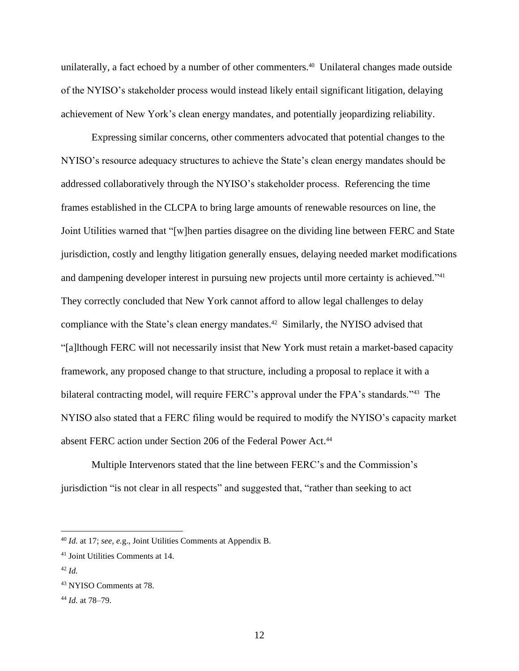unilaterally, a fact echoed by a number of other commenters.<sup>40</sup> Unilateral changes made outside of the NYISO's stakeholder process would instead likely entail significant litigation, delaying achievement of New York's clean energy mandates, and potentially jeopardizing reliability.

Expressing similar concerns, other commenters advocated that potential changes to the NYISO's resource adequacy structures to achieve the State's clean energy mandates should be addressed collaboratively through the NYISO's stakeholder process. Referencing the time frames established in the CLCPA to bring large amounts of renewable resources on line, the Joint Utilities warned that "[w]hen parties disagree on the dividing line between FERC and State jurisdiction, costly and lengthy litigation generally ensues, delaying needed market modifications and dampening developer interest in pursuing new projects until more certainty is achieved."<sup>41</sup> They correctly concluded that New York cannot afford to allow legal challenges to delay compliance with the State's clean energy mandates. 42 Similarly, the NYISO advised that "[a]lthough FERC will not necessarily insist that New York must retain a market-based capacity framework, any proposed change to that structure, including a proposal to replace it with a bilateral contracting model, will require FERC's approval under the FPA's standards."<sup>43</sup> The NYISO also stated that a FERC filing would be required to modify the NYISO's capacity market absent FERC action under Section 206 of the Federal Power Act.<sup>44</sup>

Multiple Intervenors stated that the line between FERC's and the Commission's jurisdiction "is not clear in all respects" and suggested that, "rather than seeking to act

<sup>40</sup> *Id.* at 17; *see, e.*g., Joint Utilities Comments at Appendix B.

<sup>41</sup> Joint Utilities Comments at 14.

<sup>42</sup> *Id.*

<sup>43</sup> NYISO Comments at 78.

<sup>44</sup> *Id.* at 78–79.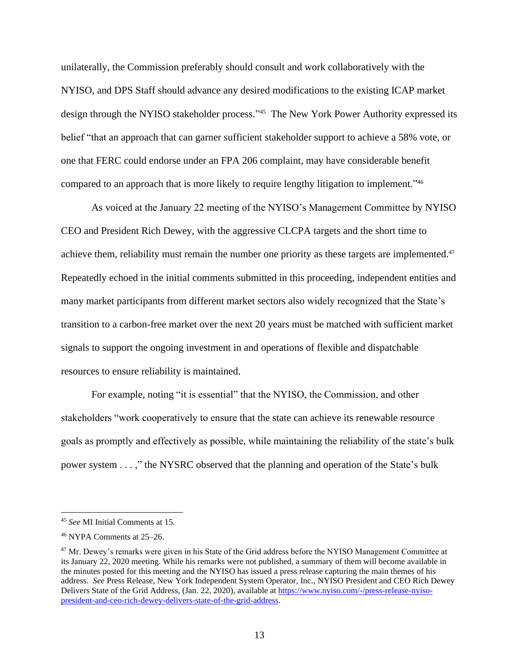unilaterally, the Commission preferably should consult and work collaboratively with the NYISO, and DPS Staff should advance any desired modifications to the existing ICAP market design through the NYISO stakeholder process." 45 The New York Power Authority expressed its belief "that an approach that can garner sufficient stakeholder support to achieve a 58% vote, or one that FERC could endorse under an FPA 206 complaint, may have considerable benefit compared to an approach that is more likely to require lengthy litigation to implement." 46

As voiced at the January 22 meeting of the NYISO's Management Committee by NYISO CEO and President Rich Dewey, with the aggressive CLCPA targets and the short time to achieve them, reliability must remain the number one priority as these targets are implemented.<sup>47</sup> Repeatedly echoed in the initial comments submitted in this proceeding, independent entities and many market participants from different market sectors also widely recognized that the State's transition to a carbon-free market over the next 20 years must be matched with sufficient market signals to support the ongoing investment in and operations of flexible and dispatchable resources to ensure reliability is maintained.

For example, noting "it is essential" that the NYISO, the Commission, and other stakeholders "work cooperatively to ensure that the state can achieve its renewable resource goals as promptly and effectively as possible, while maintaining the reliability of the state's bulk power system . . . ," the NYSRC observed that the planning and operation of the State's bulk

<sup>45</sup> *See* MI Initial Comments at 15.

<sup>46</sup> NYPA Comments at 25–26.

<sup>&</sup>lt;sup>47</sup> Mr. Dewey's remarks were given in his State of the Grid address before the NYISO Management Committee at its January 22, 2020 meeting. While his remarks were not published, a summary of them will become available in the minutes posted for this meeting and the NYISO has issued a press release capturing the main themes of his address. *See* Press Release, New York Independent System Operator, Inc., NYISO President and CEO Rich Dewey Delivers State of the Grid Address, (Jan. 22, 2020), available at [https://www.nyiso.com/-/press-release-nyiso](https://www.nyiso.com/-/press-release-nyiso-president-and-ceo-rich-dewey-delivers-state-of-the-grid-address)[president-and-ceo-rich-dewey-delivers-state-of-the-grid-address.](https://www.nyiso.com/-/press-release-nyiso-president-and-ceo-rich-dewey-delivers-state-of-the-grid-address)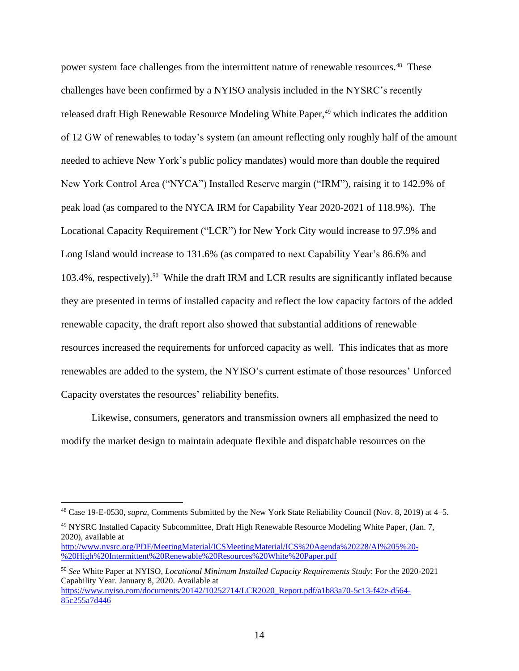power system face challenges from the intermittent nature of renewable resources.<sup>48</sup> These challenges have been confirmed by a NYISO analysis included in the NYSRC's recently released draft High Renewable Resource Modeling White Paper,<sup>49</sup> which indicates the addition of 12 GW of renewables to today's system (an amount reflecting only roughly half of the amount needed to achieve New York's public policy mandates) would more than double the required New York Control Area ("NYCA") Installed Reserve margin ("IRM"), raising it to 142.9% of peak load (as compared to the NYCA IRM for Capability Year 2020-2021 of 118.9%). The Locational Capacity Requirement ("LCR") for New York City would increase to 97.9% and Long Island would increase to 131.6% (as compared to next Capability Year's 86.6% and 103.4%, respectively).<sup>50</sup> While the draft IRM and LCR results are significantly inflated because they are presented in terms of installed capacity and reflect the low capacity factors of the added renewable capacity, the draft report also showed that substantial additions of renewable resources increased the requirements for unforced capacity as well. This indicates that as more renewables are added to the system, the NYISO's current estimate of those resources' Unforced Capacity overstates the resources' reliability benefits.

Likewise, consumers, generators and transmission owners all emphasized the need to modify the market design to maintain adequate flexible and dispatchable resources on the

<sup>49</sup> NYSRC Installed Capacity Subcommittee, Draft High Renewable Resource Modeling White Paper, (Jan. 7, 2020), available at

<sup>48</sup> Case 19-E-0530, *supra*, Comments Submitted by the New York State Reliability Council (Nov. 8, 2019) at 4–5.

[http://www.nysrc.org/PDF/MeetingMaterial/ICSMeetingMaterial/ICS%20Agenda%20228/AI%205%20-](http://www.nysrc.org/PDF/MeetingMaterial/ICSMeetingMaterial/ICS%20Agenda%20228/AI%205%20-%20High%20Intermittent%20Renewable%20Resources%20White%20Paper.pdf) [%20High%20Intermittent%20Renewable%20Resources%20White%20Paper.pdf](http://www.nysrc.org/PDF/MeetingMaterial/ICSMeetingMaterial/ICS%20Agenda%20228/AI%205%20-%20High%20Intermittent%20Renewable%20Resources%20White%20Paper.pdf)

<sup>50</sup> *See* White Paper at NYISO, *Locational Minimum Installed Capacity Requirements Study*: For the 2020-2021 Capability Year. January 8, 2020. Available at [https://www.nyiso.com/documents/20142/10252714/LCR2020\\_Report.pdf/a1b83a70-5c13-f42e-d564-](https://www.nyiso.com/documents/20142/10252714/LCR2020_Report.pdf/a1b83a70-5c13-f42e-d564-85c255a7d446) [85c255a7d446](https://www.nyiso.com/documents/20142/10252714/LCR2020_Report.pdf/a1b83a70-5c13-f42e-d564-85c255a7d446)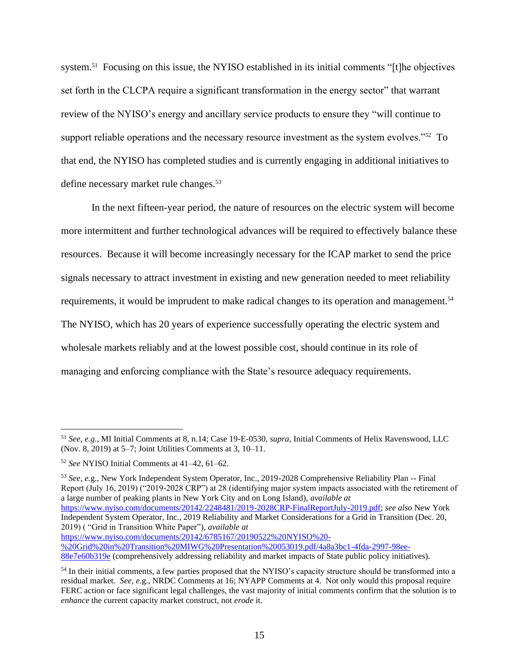system.<sup>51</sup> Focusing on this issue, the NYISO established in its initial comments "[t]he objectives set forth in the CLCPA require a significant transformation in the energy sector" that warrant review of the NYISO's energy and ancillary service products to ensure they "will continue to support reliable operations and the necessary resource investment as the system evolves."<sup>52</sup> To that end, the NYISO has completed studies and is currently engaging in additional initiatives to define necessary market rule changes.<sup>53</sup>

In the next fifteen-year period, the nature of resources on the electric system will become more intermittent and further technological advances will be required to effectively balance these resources. Because it will become increasingly necessary for the ICAP market to send the price signals necessary to attract investment in existing and new generation needed to meet reliability requirements, it would be imprudent to make radical changes to its operation and management.<sup>54</sup> The NYISO, which has 20 years of experience successfully operating the electric system and wholesale markets reliably and at the lowest possible cost, should continue in its role of managing and enforcing compliance with the State's resource adequacy requirements.

<sup>53</sup> *See, e.*g., New York Independent System Operator, Inc., 2019-2028 Comprehensive Reliability Plan -- Final Report (July 16, 2019) ("2019-2028 CRP") at 28 (identifying major system impacts associated with the retirement of a large number of peaking plants in New York City and on Long Island), *available at* [https://www.nyiso.com/documents/20142/2248481/2019-2028CRP-FinalReportJuly-2019.pdf;](https://www.nyiso.com/documents/20142/2248481/2019-2028CRP-FinalReportJuly-2019.pdf) *see also* New York Independent System Operator, Inc., 2019 Reliability and Market Considerations for a Grid in Transition (Dec. 20, 2019) ( "Grid in Transition White Paper"), *available at*

[https://www.nyiso.com/documents/20142/6785167/20190522%20NYISO%20-](https://www.nyiso.com/documents/20142/6785167/20190522%20NYISO%20-%20Grid%20in%20Transition%20MIWG%20Presentation%20053019.pdf/4a8a3bc1-4fda-2997-98ee-88e7e60b319e)

[%20Grid%20in%20Transition%20MIWG%20Presentation%20053019.pdf/4a8a3bc1-4fda-2997-98ee-](https://www.nyiso.com/documents/20142/6785167/20190522%20NYISO%20-%20Grid%20in%20Transition%20MIWG%20Presentation%20053019.pdf/4a8a3bc1-4fda-2997-98ee-88e7e60b319e)[88e7e60b319e](https://www.nyiso.com/documents/20142/6785167/20190522%20NYISO%20-%20Grid%20in%20Transition%20MIWG%20Presentation%20053019.pdf/4a8a3bc1-4fda-2997-98ee-88e7e60b319e) (comprehensively addressing reliability and market impacts of State public policy initiatives).

<sup>51</sup> *See, e.g.,* MI Initial Comments at 8, n.14; Case 19-E-0530, *supra*, Initial Comments of Helix Ravenswood, LLC (Nov. 8, 2019) at 5–7; Joint Utilities Comments at 3, 10–11.

<sup>52</sup> *See* NYISO Initial Comments at 41–42, 61–62.

<sup>&</sup>lt;sup>54</sup> In their initial comments, a few parties proposed that the NYISO's capacity structure should be transformed into a residual market. *See, e.*g., NRDC Comments at 16; NYAPP Comments at 4. Not only would this proposal require FERC action or face significant legal challenges, the vast majority of initial comments confirm that the solution is to *enhance* the current capacity market construct, not *erode* it.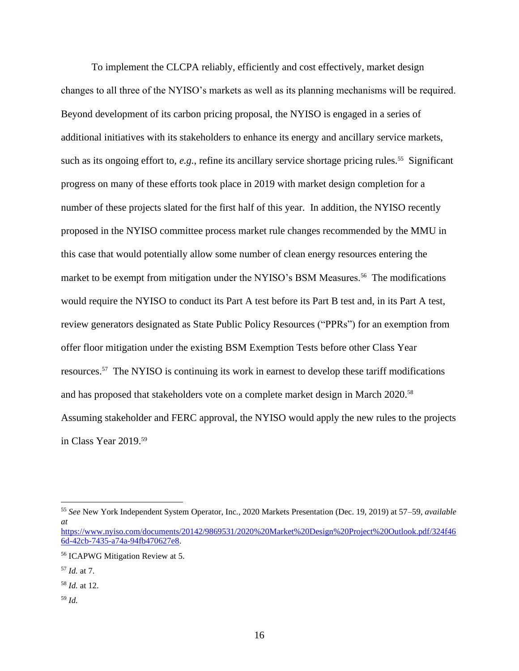To implement the CLCPA reliably, efficiently and cost effectively, market design changes to all three of the NYISO's markets as well as its planning mechanisms will be required. Beyond development of its carbon pricing proposal, the NYISO is engaged in a series of additional initiatives with its stakeholders to enhance its energy and ancillary service markets, such as its ongoing effort to, *e.g.*, refine its ancillary service shortage pricing rules.<sup>55</sup> Significant progress on many of these efforts took place in 2019 with market design completion for a number of these projects slated for the first half of this year. In addition, the NYISO recently proposed in the NYISO committee process market rule changes recommended by the MMU in this case that would potentially allow some number of clean energy resources entering the market to be exempt from mitigation under the NYISO's BSM Measures.<sup>56</sup> The modifications would require the NYISO to conduct its Part A test before its Part B test and, in its Part A test, review generators designated as State Public Policy Resources ("PPRs") for an exemption from offer floor mitigation under the existing BSM Exemption Tests before other Class Year resources. <sup>57</sup> The NYISO is continuing its work in earnest to develop these tariff modifications and has proposed that stakeholders vote on a complete market design in March 2020. 58 Assuming stakeholder and FERC approval, the NYISO would apply the new rules to the projects in Class Year 2019.<sup>59</sup>

- <sup>58</sup> *Id.* at 12.
- <sup>59</sup> *Id.*

<sup>55</sup> *See* New York Independent System Operator, Inc., 2020 Markets Presentation (Dec. 19, 2019) at 57–59, *available at* 

[https://www.nyiso.com/documents/20142/9869531/2020%20Market%20Design%20Project%20Outlook.pdf/324f46](https://www.nyiso.com/documents/20142/9869531/2020%20Market%20Design%20Project%20Outlook.pdf/324f466d-42cb-7435-a74a-94fb470627e8) [6d-42cb-7435-a74a-94fb470627e8.](https://www.nyiso.com/documents/20142/9869531/2020%20Market%20Design%20Project%20Outlook.pdf/324f466d-42cb-7435-a74a-94fb470627e8)

<sup>56</sup> ICAPWG Mitigation Review at 5.

<sup>57</sup> *Id.* at 7.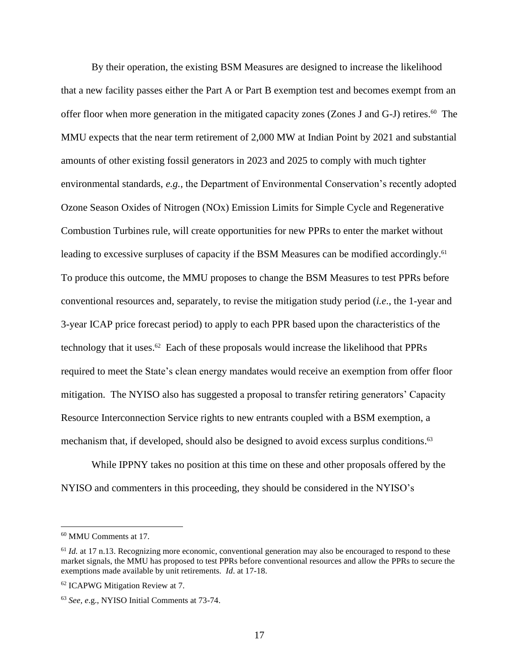By their operation, the existing BSM Measures are designed to increase the likelihood that a new facility passes either the Part A or Part B exemption test and becomes exempt from an offer floor when more generation in the mitigated capacity zones (Zones J and G-J) retires. <sup>60</sup> The MMU expects that the near term retirement of 2,000 MW at Indian Point by 2021 and substantial amounts of other existing fossil generators in 2023 and 2025 to comply with much tighter environmental standards, *e.g.*, the Department of Environmental Conservation's recently adopted Ozone Season Oxides of Nitrogen (NOx) Emission Limits for Simple Cycle and Regenerative Combustion Turbines rule, will create opportunities for new PPRs to enter the market without leading to excessive surpluses of capacity if the BSM Measures can be modified accordingly.<sup>61</sup> To produce this outcome, the MMU proposes to change the BSM Measures to test PPRs before conventional resources and, separately, to revise the mitigation study period (*i.e*., the 1-year and 3-year ICAP price forecast period) to apply to each PPR based upon the characteristics of the technology that it uses. 62 Each of these proposals would increase the likelihood that PPRs required to meet the State's clean energy mandates would receive an exemption from offer floor mitigation. The NYISO also has suggested a proposal to transfer retiring generators' Capacity Resource Interconnection Service rights to new entrants coupled with a BSM exemption, a mechanism that, if developed, should also be designed to avoid excess surplus conditions. 63

While IPPNY takes no position at this time on these and other proposals offered by the NYISO and commenters in this proceeding, they should be considered in the NYISO's

<sup>60</sup> MMU Comments at 17.

<sup>&</sup>lt;sup>61</sup> *Id.* at 17 n.13. Recognizing more economic, conventional generation may also be encouraged to respond to these market signals, the MMU has proposed to test PPRs before conventional resources and allow the PPRs to secure the exemptions made available by unit retirements. *Id*. at 17-18.

<sup>62</sup> ICAPWG Mitigation Review at 7.

<sup>63</sup> *See, e*.g., NYISO Initial Comments at 73-74.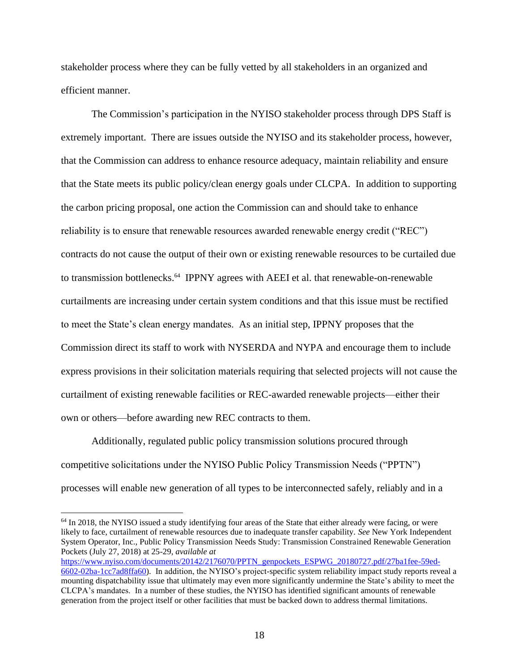stakeholder process where they can be fully vetted by all stakeholders in an organized and efficient manner.

The Commission's participation in the NYISO stakeholder process through DPS Staff is extremely important. There are issues outside the NYISO and its stakeholder process, however, that the Commission can address to enhance resource adequacy, maintain reliability and ensure that the State meets its public policy/clean energy goals under CLCPA. In addition to supporting the carbon pricing proposal, one action the Commission can and should take to enhance reliability is to ensure that renewable resources awarded renewable energy credit ("REC") contracts do not cause the output of their own or existing renewable resources to be curtailed due to transmission bottlenecks.<sup>64</sup> IPPNY agrees with AEEI et al. that renewable-on-renewable curtailments are increasing under certain system conditions and that this issue must be rectified to meet the State's clean energy mandates. As an initial step, IPPNY proposes that the Commission direct its staff to work with NYSERDA and NYPA and encourage them to include express provisions in their solicitation materials requiring that selected projects will not cause the curtailment of existing renewable facilities or REC-awarded renewable projects—either their own or others—before awarding new REC contracts to them.

Additionally, regulated public policy transmission solutions procured through competitive solicitations under the NYISO Public Policy Transmission Needs ("PPTN") processes will enable new generation of all types to be interconnected safely, reliably and in a

[https://www.nyiso.com/documents/20142/2176070/PPTN\\_genpockets\\_ESPWG\\_20180727.pdf/27ba1fee-59ed-](https://www.nyiso.com/documents/20142/2176070/PPTN_genpockets_ESPWG_20180727.pdf/27ba1fee-59ed-6602-02ba-1cc7ad8ffa60)[6602-02ba-1cc7ad8ffa60\)](https://www.nyiso.com/documents/20142/2176070/PPTN_genpockets_ESPWG_20180727.pdf/27ba1fee-59ed-6602-02ba-1cc7ad8ffa60). In addition, the NYISO's project-specific system reliability impact study reports reveal a mounting dispatchability issue that ultimately may even more significantly undermine the State's ability to meet the CLCPA's mandates. In a number of these studies, the NYISO has identified significant amounts of renewable generation from the project itself or other facilities that must be backed down to address thermal limitations.

<sup>&</sup>lt;sup>64</sup> In 2018, the NYISO issued a study identifying four areas of the State that either already were facing, or were likely to face, curtailment of renewable resources due to inadequate transfer capability. *See* New York Independent System Operator, Inc., Public Policy Transmission Needs Study: Transmission Constrained Renewable Generation Pockets (July 27, 2018) at 25-29, *available at*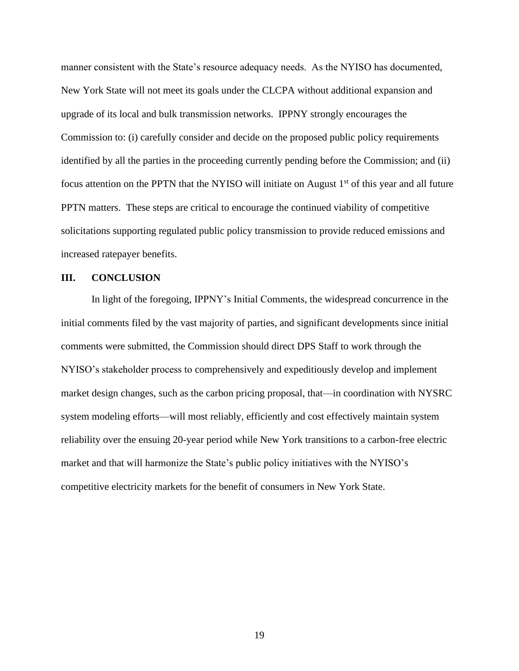manner consistent with the State's resource adequacy needs. As the NYISO has documented, New York State will not meet its goals under the CLCPA without additional expansion and upgrade of its local and bulk transmission networks. IPPNY strongly encourages the Commission to: (i) carefully consider and decide on the proposed public policy requirements identified by all the parties in the proceeding currently pending before the Commission; and (ii) focus attention on the PPTN that the NYISO will initiate on August  $1<sup>st</sup>$  of this year and all future PPTN matters. These steps are critical to encourage the continued viability of competitive solicitations supporting regulated public policy transmission to provide reduced emissions and increased ratepayer benefits.

#### **III. CONCLUSION**

In light of the foregoing, IPPNY's Initial Comments, the widespread concurrence in the initial comments filed by the vast majority of parties, and significant developments since initial comments were submitted, the Commission should direct DPS Staff to work through the NYISO's stakeholder process to comprehensively and expeditiously develop and implement market design changes, such as the carbon pricing proposal, that—in coordination with NYSRC system modeling efforts—will most reliably, efficiently and cost effectively maintain system reliability over the ensuing 20-year period while New York transitions to a carbon-free electric market and that will harmonize the State's public policy initiatives with the NYISO's competitive electricity markets for the benefit of consumers in New York State.